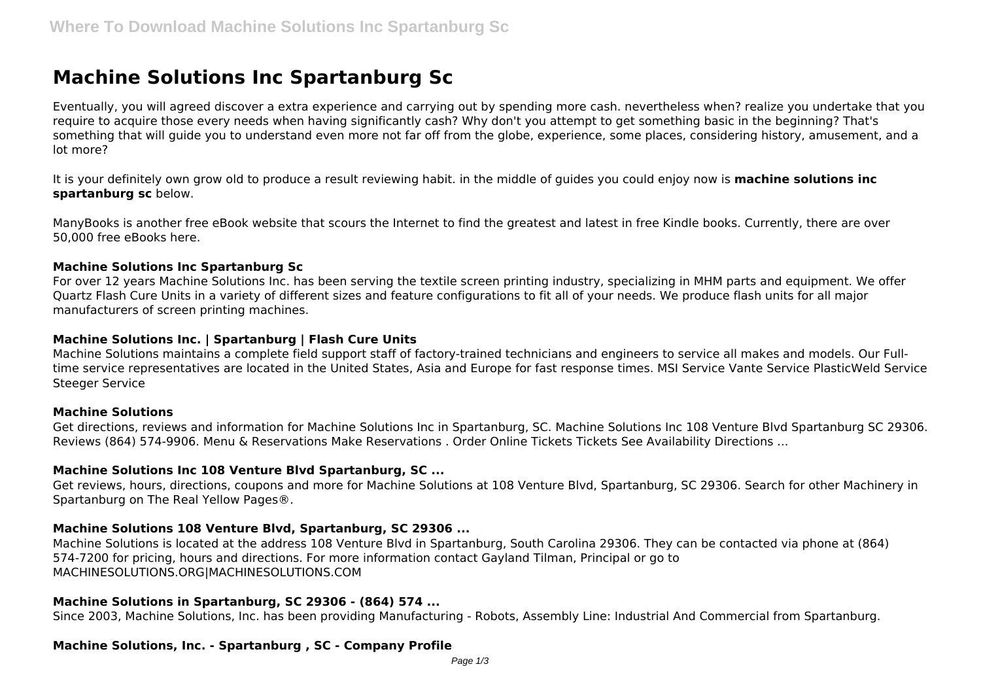# **Machine Solutions Inc Spartanburg Sc**

Eventually, you will agreed discover a extra experience and carrying out by spending more cash. nevertheless when? realize you undertake that you require to acquire those every needs when having significantly cash? Why don't you attempt to get something basic in the beginning? That's something that will guide you to understand even more not far off from the globe, experience, some places, considering history, amusement, and a lot more?

It is your definitely own grow old to produce a result reviewing habit. in the middle of guides you could enjoy now is **machine solutions inc spartanburg sc** below.

ManyBooks is another free eBook website that scours the Internet to find the greatest and latest in free Kindle books. Currently, there are over 50,000 free eBooks here.

## **Machine Solutions Inc Spartanburg Sc**

For over 12 years Machine Solutions Inc. has been serving the textile screen printing industry, specializing in MHM parts and equipment. We offer Quartz Flash Cure Units in a variety of different sizes and feature configurations to fit all of your needs. We produce flash units for all major manufacturers of screen printing machines.

## **Machine Solutions Inc. | Spartanburg | Flash Cure Units**

Machine Solutions maintains a complete field support staff of factory-trained technicians and engineers to service all makes and models. Our Fulltime service representatives are located in the United States, Asia and Europe for fast response times. MSI Service Vante Service PlasticWeld Service Steeger Service

## **Machine Solutions**

Get directions, reviews and information for Machine Solutions Inc in Spartanburg, SC. Machine Solutions Inc 108 Venture Blvd Spartanburg SC 29306. Reviews (864) 574-9906. Menu & Reservations Make Reservations . Order Online Tickets Tickets See Availability Directions ...

## **Machine Solutions Inc 108 Venture Blvd Spartanburg, SC ...**

Get reviews, hours, directions, coupons and more for Machine Solutions at 108 Venture Blvd, Spartanburg, SC 29306. Search for other Machinery in Spartanburg on The Real Yellow Pages®.

## **Machine Solutions 108 Venture Blvd, Spartanburg, SC 29306 ...**

Machine Solutions is located at the address 108 Venture Blvd in Spartanburg, South Carolina 29306. They can be contacted via phone at (864) 574-7200 for pricing, hours and directions. For more information contact Gayland Tilman, Principal or go to MACHINESOLUTIONS.ORG|MACHINESOLUTIONS.COM

## **Machine Solutions in Spartanburg, SC 29306 - (864) 574 ...**

Since 2003, Machine Solutions, Inc. has been providing Manufacturing - Robots, Assembly Line: Industrial And Commercial from Spartanburg.

## **Machine Solutions, Inc. - Spartanburg , SC - Company Profile**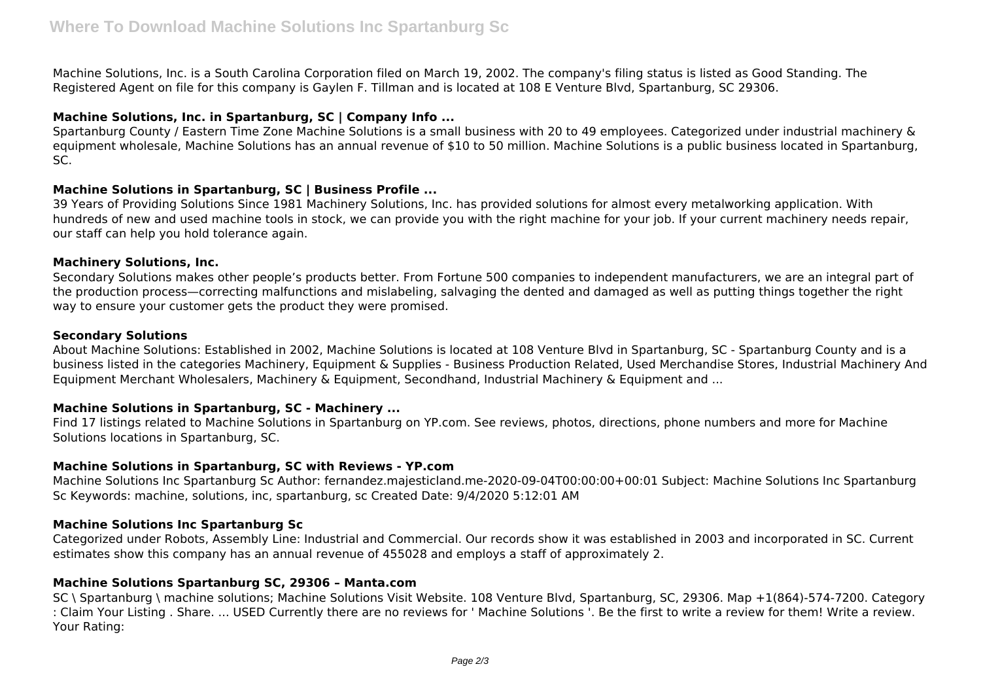Machine Solutions, Inc. is a South Carolina Corporation filed on March 19, 2002. The company's filing status is listed as Good Standing. The Registered Agent on file for this company is Gaylen F. Tillman and is located at 108 E Venture Blvd, Spartanburg, SC 29306.

## **Machine Solutions, Inc. in Spartanburg, SC | Company Info ...**

Spartanburg County / Eastern Time Zone Machine Solutions is a small business with 20 to 49 employees. Categorized under industrial machinery & equipment wholesale, Machine Solutions has an annual revenue of \$10 to 50 million. Machine Solutions is a public business located in Spartanburg, SC.

## **Machine Solutions in Spartanburg, SC | Business Profile ...**

39 Years of Providing Solutions Since 1981 Machinery Solutions, Inc. has provided solutions for almost every metalworking application. With hundreds of new and used machine tools in stock, we can provide you with the right machine for your job. If your current machinery needs repair, our staff can help you hold tolerance again.

## **Machinery Solutions, Inc.**

Secondary Solutions makes other people's products better. From Fortune 500 companies to independent manufacturers, we are an integral part of the production process—correcting malfunctions and mislabeling, salvaging the dented and damaged as well as putting things together the right way to ensure your customer gets the product they were promised.

#### **Secondary Solutions**

About Machine Solutions: Established in 2002, Machine Solutions is located at 108 Venture Blvd in Spartanburg, SC - Spartanburg County and is a business listed in the categories Machinery, Equipment & Supplies - Business Production Related, Used Merchandise Stores, Industrial Machinery And Equipment Merchant Wholesalers, Machinery & Equipment, Secondhand, Industrial Machinery & Equipment and ...

## **Machine Solutions in Spartanburg, SC - Machinery ...**

Find 17 listings related to Machine Solutions in Spartanburg on YP.com. See reviews, photos, directions, phone numbers and more for Machine Solutions locations in Spartanburg, SC.

## **Machine Solutions in Spartanburg, SC with Reviews - YP.com**

Machine Solutions Inc Spartanburg Sc Author: fernandez.majesticland.me-2020-09-04T00:00:00+00:01 Subject: Machine Solutions Inc Spartanburg Sc Keywords: machine, solutions, inc, spartanburg, sc Created Date: 9/4/2020 5:12:01 AM

## **Machine Solutions Inc Spartanburg Sc**

Categorized under Robots, Assembly Line: Industrial and Commercial. Our records show it was established in 2003 and incorporated in SC. Current estimates show this company has an annual revenue of 455028 and employs a staff of approximately 2.

## **Machine Solutions Spartanburg SC, 29306 – Manta.com**

SC \ Spartanburg \ machine solutions; Machine Solutions Visit Website. 108 Venture Blvd, Spartanburg, SC, 29306. Map +1(864)-574-7200. Category : Claim Your Listing . Share. ... USED Currently there are no reviews for ' Machine Solutions '. Be the first to write a review for them! Write a review. Your Rating: